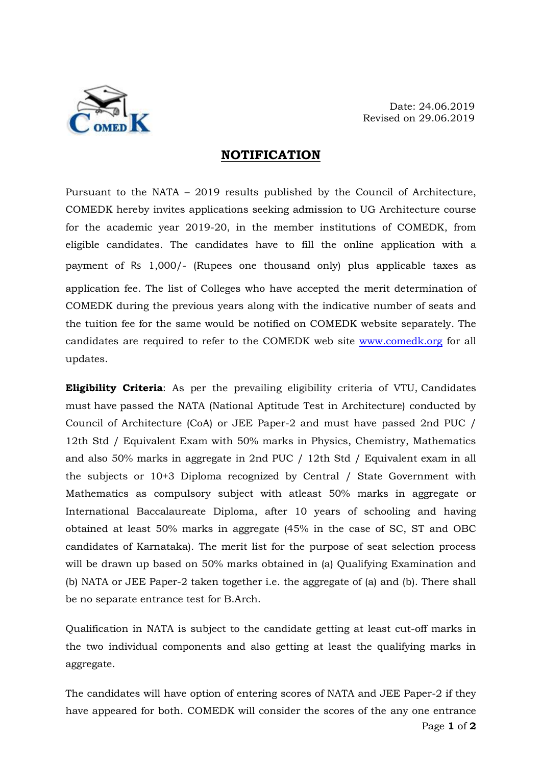

## **NOTIFICATION**

Pursuant to the NATA – 2019 results published by the Council of Architecture, COMEDK hereby invites applications seeking admission to UG Architecture course for the academic year 2019-20, in the member institutions of COMEDK, from eligible candidates. The candidates have to fill the online application with a payment of Rs 1,000/- (Rupees one thousand only) plus applicable taxes as application fee. The list of Colleges who have accepted the merit determination of COMEDK during the previous years along with the indicative number of seats and the tuition fee for the same would be notified on COMEDK website separately. The candidates are required to refer to the COMEDK web site [www.comedk.org](http://www.comedk.org/) for all updates.

**Eligibility Criteria**: As per the prevailing eligibility criteria of VTU, Candidates must have passed the NATA (National Aptitude Test in Architecture) conducted by Council of Architecture (CoA) or JEE Paper-2 and must have passed 2nd PUC / 12th Std / Equivalent Exam with 50% marks in Physics, Chemistry, Mathematics and also 50% marks in aggregate in 2nd PUC / 12th Std / Equivalent exam in all the subjects or 10+3 Diploma recognized by Central / State Government with Mathematics as compulsory subject with atleast 50% marks in aggregate or International Baccalaureate Diploma, after 10 years of schooling and having obtained at least 50% marks in aggregate (45% in the case of SC, ST and OBC candidates of Karnataka). The merit list for the purpose of seat selection process will be drawn up based on 50% marks obtained in (a) Qualifying Examination and (b) NATA or JEE Paper-2 taken together i.e. the aggregate of (a) and (b). There shall be no separate entrance test for B.Arch.

Qualification in NATA is subject to the candidate getting at least cut-off marks in the two individual components and also getting at least the qualifying marks in aggregate.

Page **1** of **2** The candidates will have option of entering scores of NATA and JEE Paper-2 if they have appeared for both. COMEDK will consider the scores of the any one entrance